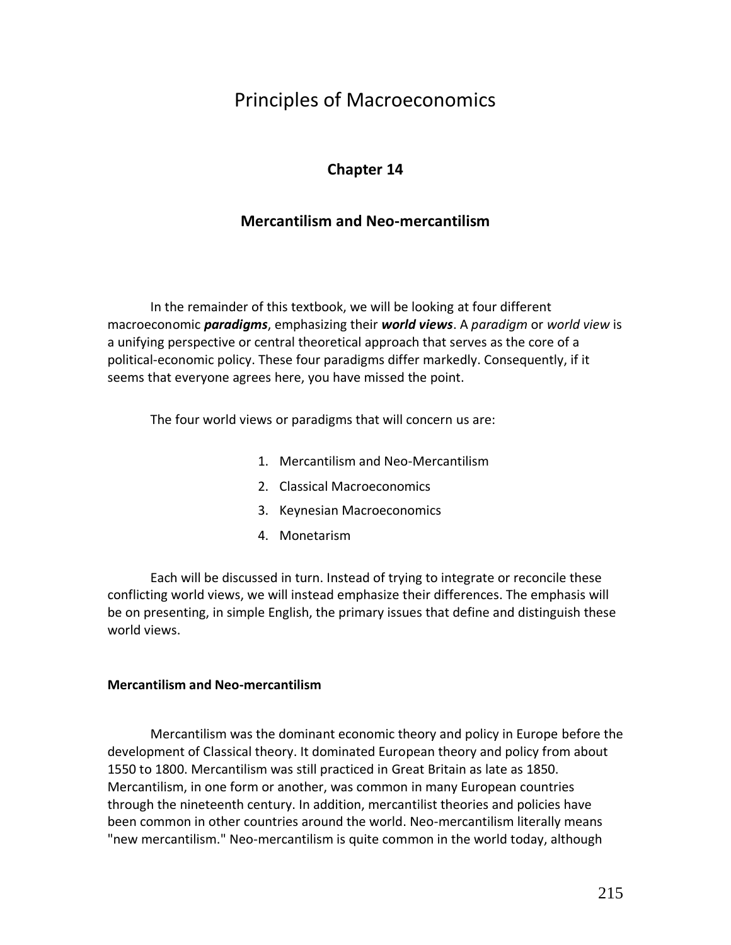# Principles of Macroeconomics

# **Chapter 14**

# **Mercantilism and Neo-mercantilism**

In the remainder of this textbook, we will be looking at four different macroeconomic *paradigms*, emphasizing their *world views*. A *paradigm* or *world view* is a unifying perspective or central theoretical approach that serves as the core of a political-economic policy. These four paradigms differ markedly. Consequently, if it seems that everyone agrees here, you have missed the point.

The four world views or paradigms that will concern us are:

- 1. Mercantilism and Neo-Mercantilism
- 2. Classical Macroeconomics
- 3. Keynesian Macroeconomics
- 4. Monetarism

Each will be discussed in turn. Instead of trying to integrate or reconcile these conflicting world views, we will instead emphasize their differences. The emphasis will be on presenting, in simple English, the primary issues that define and distinguish these world views.

#### **Mercantilism and Neo-mercantilism**

Mercantilism was the dominant economic theory and policy in Europe before the development of Classical theory. It dominated European theory and policy from about 1550 to 1800. Mercantilism was still practiced in Great Britain as late as 1850. Mercantilism, in one form or another, was common in many European countries through the nineteenth century. In addition, mercantilist theories and policies have been common in other countries around the world. Neo-mercantilism literally means "new mercantilism." Neo-mercantilism is quite common in the world today, although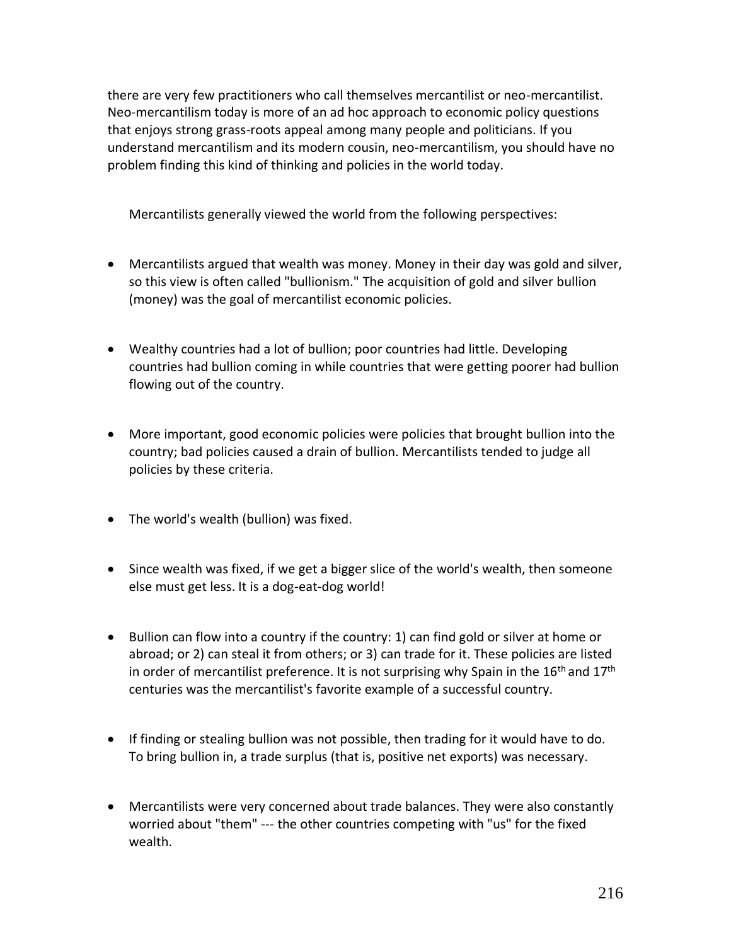there are very few practitioners who call themselves mercantilist or neo-mercantilist. Neo-mercantilism today is more of an ad hoc approach to economic policy questions that enjoys strong grass-roots appeal among many people and politicians. If you understand mercantilism and its modern cousin, neo-mercantilism, you should have no problem finding this kind of thinking and policies in the world today.

Mercantilists generally viewed the world from the following perspectives:

- Mercantilists argued that wealth was money. Money in their day was gold and silver, so this view is often called "bullionism." The acquisition of gold and silver bullion (money) was the goal of mercantilist economic policies.
- Wealthy countries had a lot of bullion; poor countries had little. Developing countries had bullion coming in while countries that were getting poorer had bullion flowing out of the country.
- More important, good economic policies were policies that brought bullion into the country; bad policies caused a drain of bullion. Mercantilists tended to judge all policies by these criteria.
- The world's wealth (bullion) was fixed.
- Since wealth was fixed, if we get a bigger slice of the world's wealth, then someone else must get less. It is a dog-eat-dog world!
- Bullion can flow into a country if the country: 1) can find gold or silver at home or abroad; or 2) can steal it from others; or 3) can trade for it. These policies are listed in order of mercantilist preference. It is not surprising why Spain in the  $16<sup>th</sup>$  and  $17<sup>th</sup>$ centuries was the mercantilist's favorite example of a successful country.
- If finding or stealing bullion was not possible, then trading for it would have to do. To bring bullion in, a trade surplus (that is, positive net exports) was necessary.
- Mercantilists were very concerned about trade balances. They were also constantly worried about "them" --- the other countries competing with "us" for the fixed wealth.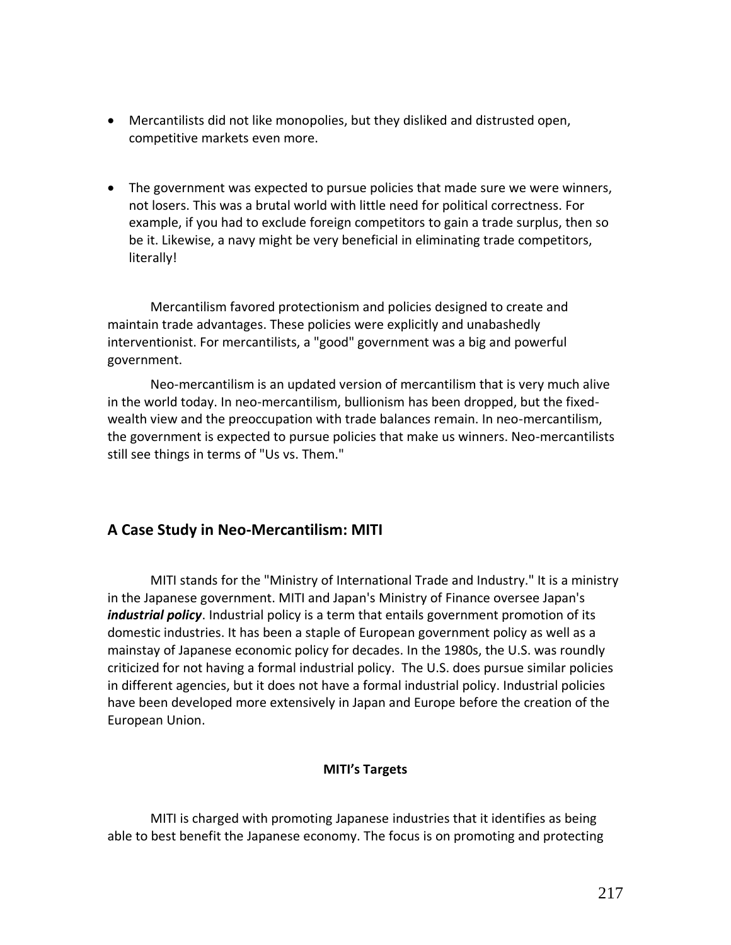- Mercantilists did not like monopolies, but they disliked and distrusted open, competitive markets even more.
- The government was expected to pursue policies that made sure we were winners, not losers. This was a brutal world with little need for political correctness. For example, if you had to exclude foreign competitors to gain a trade surplus, then so be it. Likewise, a navy might be very beneficial in eliminating trade competitors, literally!

Mercantilism favored protectionism and policies designed to create and maintain trade advantages. These policies were explicitly and unabashedly interventionist. For mercantilists, a "good" government was a big and powerful government.

Neo-mercantilism is an updated version of mercantilism that is very much alive in the world today. In neo-mercantilism, bullionism has been dropped, but the fixedwealth view and the preoccupation with trade balances remain. In neo-mercantilism, the government is expected to pursue policies that make us winners. Neo-mercantilists still see things in terms of "Us vs. Them."

# **A Case Study in Neo-Mercantilism: MITI**

MITI stands for the "Ministry of International Trade and Industry." It is a ministry in the Japanese government. MITI and Japan's Ministry of Finance oversee Japan's *industrial policy*. Industrial policy is a term that entails government promotion of its domestic industries. It has been a staple of European government policy as well as a mainstay of Japanese economic policy for decades. In the 1980s, the U.S. was roundly criticized for not having a formal industrial policy. The U.S. does pursue similar policies in different agencies, but it does not have a formal industrial policy. Industrial policies have been developed more extensively in Japan and Europe before the creation of the European Union.

### **MITI's Targets**

MITI is charged with promoting Japanese industries that it identifies as being able to best benefit the Japanese economy. The focus is on promoting and protecting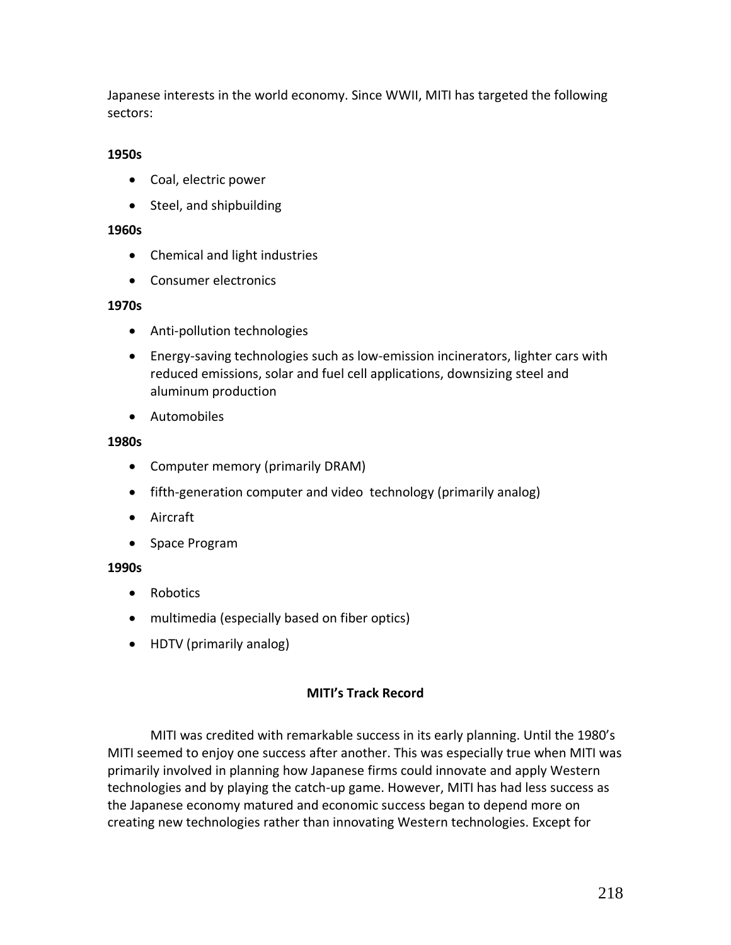Japanese interests in the world economy. Since WWII, MITI has targeted the following sectors:

### **1950s**

- Coal, electric power
- Steel, and shipbuilding

#### **1960s**

- Chemical and light industries
- Consumer electronics

#### **1970s**

- Anti-pollution technologies
- Energy-saving technologies such as low-emission incinerators, lighter cars with reduced emissions, solar and fuel cell applications, downsizing steel and aluminum production
- Automobiles

#### **1980s**

- Computer memory (primarily DRAM)
- fifth-generation computer and video technology (primarily analog)
- Aircraft
- Space Program

#### **1990s**

- Robotics
- multimedia (especially based on fiber optics)
- HDTV (primarily analog)

#### **MITI's Track Record**

MITI was credited with remarkable success in its early planning. Until the 1980's MITI seemed to enjoy one success after another. This was especially true when MITI was primarily involved in planning how Japanese firms could innovate and apply Western technologies and by playing the catch-up game. However, MITI has had less success as the Japanese economy matured and economic success began to depend more on creating new technologies rather than innovating Western technologies. Except for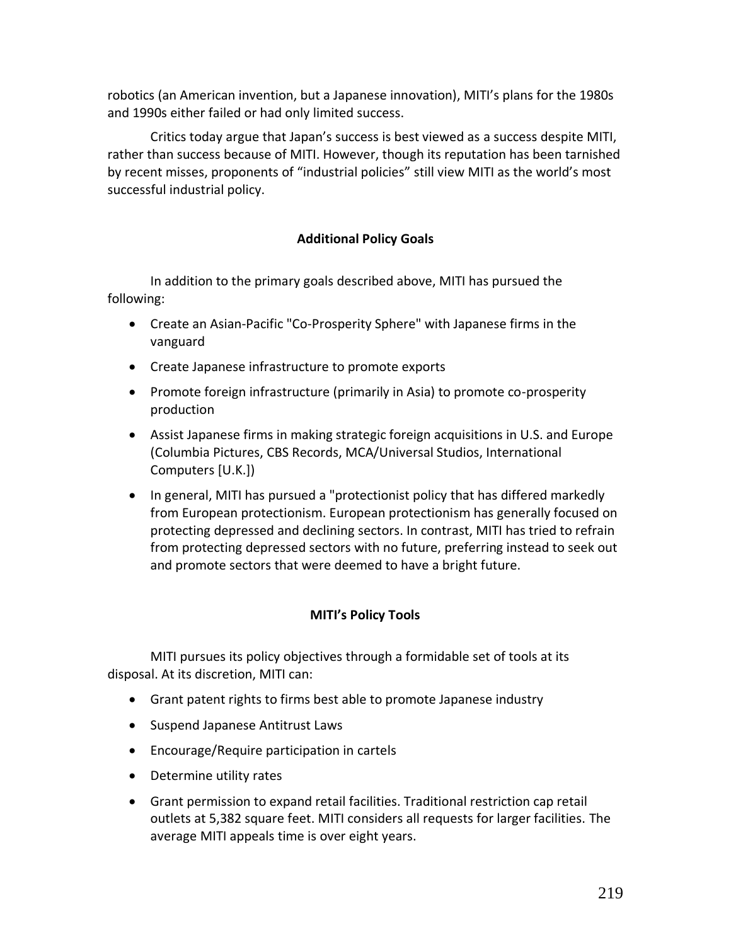robotics (an American invention, but a Japanese innovation), MITI's plans for the 1980s and 1990s either failed or had only limited success.

Critics today argue that Japan's success is best viewed as a success despite MITI, rather than success because of MITI. However, though its reputation has been tarnished by recent misses, proponents of "industrial policies" still view MITI as the world's most successful industrial policy.

### **Additional Policy Goals**

In addition to the primary goals described above, MITI has pursued the following:

- Create an Asian-Pacific "Co-Prosperity Sphere" with Japanese firms in the vanguard
- Create Japanese infrastructure to promote exports
- Promote foreign infrastructure (primarily in Asia) to promote co-prosperity production
- Assist Japanese firms in making strategic foreign acquisitions in U.S. and Europe (Columbia Pictures, CBS Records, MCA/Universal Studios, International Computers [U.K.])
- In general, MITI has pursued a "protectionist policy that has differed markedly from European protectionism. European protectionism has generally focused on protecting depressed and declining sectors. In contrast, MITI has tried to refrain from protecting depressed sectors with no future, preferring instead to seek out and promote sectors that were deemed to have a bright future.

### **MITI's Policy Tools**

MITI pursues its policy objectives through a formidable set of tools at its disposal. At its discretion, MITI can:

- Grant patent rights to firms best able to promote Japanese industry
- Suspend Japanese Antitrust Laws
- Encourage/Require participation in cartels
- Determine utility rates
- Grant permission to expand retail facilities. Traditional restriction cap retail outlets at 5,382 square feet. MITI considers all requests for larger facilities. The average MITI appeals time is over eight years.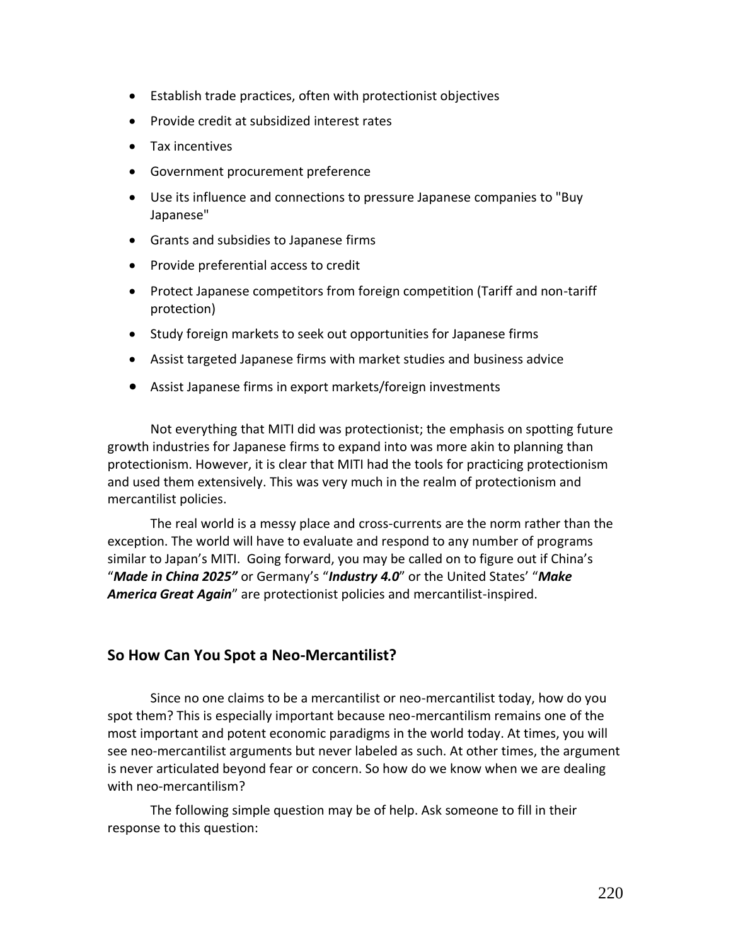- Establish trade practices, often with protectionist objectives
- Provide credit at subsidized interest rates
- Tax incentives
- Government procurement preference
- Use its influence and connections to pressure Japanese companies to "Buy Japanese"
- Grants and subsidies to Japanese firms
- Provide preferential access to credit
- Protect Japanese competitors from foreign competition (Tariff and non-tariff protection)
- Study foreign markets to seek out opportunities for Japanese firms
- Assist targeted Japanese firms with market studies and business advice
- Assist Japanese firms in export markets/foreign investments

Not everything that MITI did was protectionist; the emphasis on spotting future growth industries for Japanese firms to expand into was more akin to planning than protectionism. However, it is clear that MITI had the tools for practicing protectionism and used them extensively. This was very much in the realm of protectionism and mercantilist policies.

The real world is a messy place and cross-currents are the norm rather than the exception. The world will have to evaluate and respond to any number of programs similar to Japan's MITI. Going forward, you may be called on to figure out if China's "*Made in China 2025"* or Germany's "*Industry 4.0*" or the United States' "*Make America Great Again*" are protectionist policies and mercantilist-inspired.

### **So How Can You Spot a Neo-Mercantilist?**

Since no one claims to be a mercantilist or neo-mercantilist today, how do you spot them? This is especially important because neo-mercantilism remains one of the most important and potent economic paradigms in the world today. At times, you will see neo-mercantilist arguments but never labeled as such. At other times, the argument is never articulated beyond fear or concern. So how do we know when we are dealing with neo-mercantilism?

The following simple question may be of help. Ask someone to fill in their response to this question: